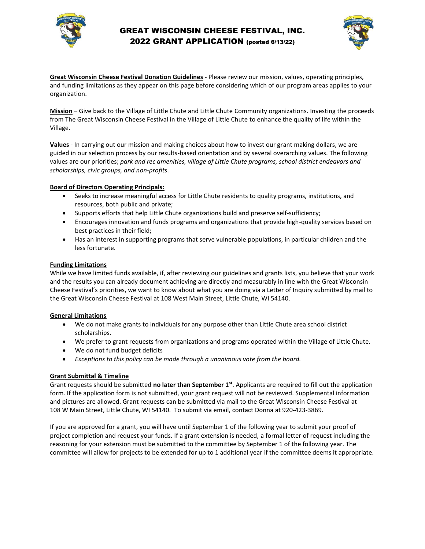

## GREAT WISCONSIN CHEESE FESTIVAL, INC. 2022 GRANT APPLICATION (posted 6/13/22)



**Great Wisconsin Cheese Festival Donation Guidelines** - Please review our mission, values, operating principles, and funding limitations as they appear on this page before considering which of our program areas applies to your organization.

**Mission** – Give back to the Village of Little Chute and Little Chute Community organizations. Investing the proceeds from The Great Wisconsin Cheese Festival in the Village of Little Chute to enhance the quality of life within the Village.

**Values** - In carrying out our mission and making choices about how to invest our grant making dollars, we are guided in our selection process by our results-based orientation and by several overarching values. The following values are our priorities; *park and rec amenities, village of Little Chute programs, school district endeavors and scholarships, civic groups, and non-profits*.

#### **Board of Directors Operating Principals:**

- Seeks to increase meaningful access for Little Chute residents to quality programs, institutions, and resources, both public and private;
- Supports efforts that help Little Chute organizations build and preserve self-sufficiency;
- Encourages innovation and funds programs and organizations that provide high-quality services based on best practices in their field;
- Has an interest in supporting programs that serve vulnerable populations, in particular children and the less fortunate.

#### **Funding Limitations**

While we have limited funds available, if, after reviewing our guidelines and grants lists, you believe that your work and the results you can already document achieving are directly and measurably in line with the Great Wisconsin Cheese Festival's priorities, we want to know about what you are doing via a Letter of Inquiry submitted by mail to the Great Wisconsin Cheese Festival at 108 West Main Street, Little Chute, WI 54140.

#### **General Limitations**

- We do not make grants to individuals for any purpose other than Little Chute area school district scholarships.
- We prefer to grant requests from organizations and programs operated within the Village of Little Chute.
- We do not fund budget deficits
- *Exceptions to this policy can be made through a unanimous vote from the board.*

### **Grant Submittal & Timeline**

Grant requests should be submitted **no later than September 1st**. Applicants are required to fill out the application form. If the application form is not submitted, your grant request will not be reviewed. Supplemental information and pictures are allowed. Grant requests can be submitted via mail to the Great Wisconsin Cheese Festival at 108 W Main Street, Little Chute, WI 54140. To submit via email, contact Donna at 920-423-3869.

If you are approved for a grant, you will have until September 1 of the following year to submit your proof of project completion and request your funds. If a grant extension is needed, a formal letter of request including the reasoning for your extension must be submitted to the committee by September 1 of the following year. The committee will allow for projects to be extended for up to 1 additional year if the committee deems it appropriate.